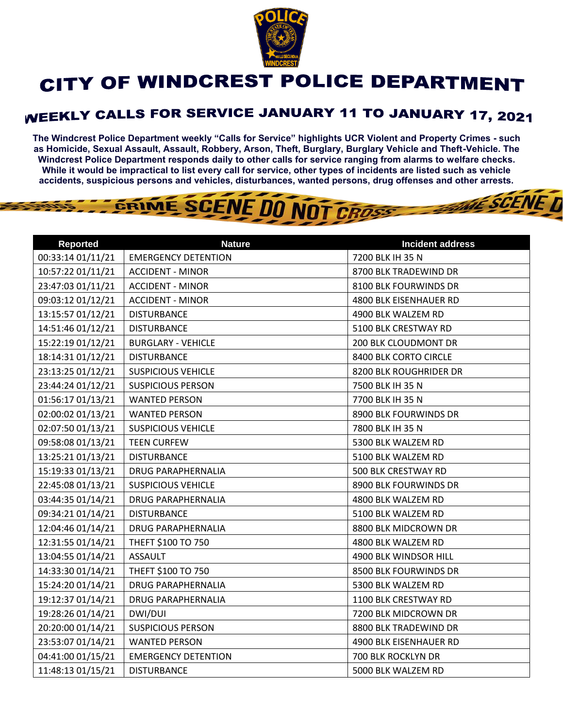

## CITY OF WINDCREST POLICE DEPARTMENT

## **WEEKLY CALLS FOR SERVICE JANUARY 11 TO JANUARY 17, 2021**

**The Windcrest Police Department weekly "Calls for Service" highlights UCR Violent and Property Crimes - such as Homicide, Sexual Assault, Assault, Robbery, Arson, Theft, Burglary, Burglary Vehicle and Theft-Vehicle. The Windcrest Police Department responds daily to other calls for service ranging from alarms to welfare checks. While it would be impractical to list every call for service, other types of incidents are listed such as vehicle accidents, suspicious persons and vehicles, disturbances, wanted persons, drug offenses and other arrests.** 

**WE SCENE T** 



| <b>Reported</b>   | <b>Nature</b>              | <b>Incident address</b> |
|-------------------|----------------------------|-------------------------|
| 00:33:14 01/11/21 | <b>EMERGENCY DETENTION</b> | 7200 BLK IH 35 N        |
| 10:57:22 01/11/21 | <b>ACCIDENT - MINOR</b>    | 8700 BLK TRADEWIND DR   |
| 23:47:03 01/11/21 | <b>ACCIDENT - MINOR</b>    | 8100 BLK FOURWINDS DR   |
| 09:03:12 01/12/21 | <b>ACCIDENT - MINOR</b>    | 4800 BLK EISENHAUER RD  |
| 13:15:57 01/12/21 | <b>DISTURBANCE</b>         | 4900 BLK WALZEM RD      |
| 14:51:46 01/12/21 | <b>DISTURBANCE</b>         | 5100 BLK CRESTWAY RD    |
| 15:22:19 01/12/21 | <b>BURGLARY - VEHICLE</b>  | 200 BLK CLOUDMONT DR    |
| 18:14:31 01/12/21 | <b>DISTURBANCE</b>         | 8400 BLK CORTO CIRCLE   |
| 23:13:25 01/12/21 | <b>SUSPICIOUS VEHICLE</b>  | 8200 BLK ROUGHRIDER DR  |
| 23:44:24 01/12/21 | <b>SUSPICIOUS PERSON</b>   | 7500 BLK IH 35 N        |
| 01:56:17 01/13/21 | <b>WANTED PERSON</b>       | 7700 BLK IH 35 N        |
| 02:00:02 01/13/21 | <b>WANTED PERSON</b>       | 8900 BLK FOURWINDS DR   |
| 02:07:50 01/13/21 | <b>SUSPICIOUS VEHICLE</b>  | 7800 BLK IH 35 N        |
| 09:58:08 01/13/21 | <b>TEEN CURFEW</b>         | 5300 BLK WALZEM RD      |
| 13:25:21 01/13/21 | <b>DISTURBANCE</b>         | 5100 BLK WALZEM RD      |
| 15:19:33 01/13/21 | DRUG PARAPHERNALIA         | 500 BLK CRESTWAY RD     |
| 22:45:08 01/13/21 | <b>SUSPICIOUS VEHICLE</b>  | 8900 BLK FOURWINDS DR   |
| 03:44:35 01/14/21 | <b>DRUG PARAPHERNALIA</b>  | 4800 BLK WALZEM RD      |
| 09:34:21 01/14/21 | <b>DISTURBANCE</b>         | 5100 BLK WALZEM RD      |
| 12:04:46 01/14/21 | <b>DRUG PARAPHERNALIA</b>  | 8800 BLK MIDCROWN DR    |
| 12:31:55 01/14/21 | THEFT \$100 TO 750         | 4800 BLK WALZEM RD      |
| 13:04:55 01/14/21 | <b>ASSAULT</b>             | 4900 BLK WINDSOR HILL   |
| 14:33:30 01/14/21 | THEFT \$100 TO 750         | 8500 BLK FOURWINDS DR   |
| 15:24:20 01/14/21 | <b>DRUG PARAPHERNALIA</b>  | 5300 BLK WALZEM RD      |
| 19:12:37 01/14/21 | <b>DRUG PARAPHERNALIA</b>  | 1100 BLK CRESTWAY RD    |
| 19:28:26 01/14/21 | DWI/DUI                    | 7200 BLK MIDCROWN DR    |
| 20:20:00 01/14/21 | <b>SUSPICIOUS PERSON</b>   | 8800 BLK TRADEWIND DR   |
| 23:53:07 01/14/21 | <b>WANTED PERSON</b>       | 4900 BLK EISENHAUER RD  |
| 04:41:00 01/15/21 | <b>EMERGENCY DETENTION</b> | 700 BLK ROCKLYN DR      |
| 11:48:13 01/15/21 | <b>DISTURBANCE</b>         | 5000 BLK WALZEM RD      |